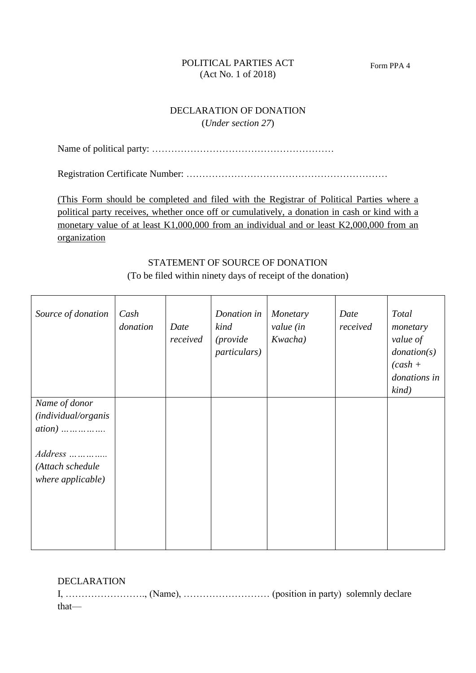## POLITICAL PARTIES ACT (Act No. 1 of 2018)

## DECLARATION OF DONATION (*Under section 27*)

Name of political party: …………………………………………………

Registration Certificate Number: ………………………………………………………

(This Form should be completed and filed with the Registrar of Political Parties where a political party receives, whether once off or cumulatively, a donation in cash or kind with a monetary value of at least K1,000,000 from an individual and or least K2,000,000 from an organization

## STATEMENT OF SOURCE OF DONATION (To be filed within ninety days of receipt of the donation)

 $\overline{\phantom{a}}$ 

| Source of donation                                                                | Cash<br>donation | Date<br>received | Donation in<br>kind<br><i>(provide)</i><br><i>particulars</i> ) | Monetary<br>value (in<br>Kwacha) | Date<br>received | Total<br>monetary<br>value of<br>$\text{domain}(s)$<br>$(cash +$<br>donations in<br>$\;$ kind) |
|-----------------------------------------------------------------------------------|------------------|------------------|-----------------------------------------------------------------|----------------------------------|------------------|------------------------------------------------------------------------------------------------|
| Name of donor<br>(individual/organis<br>$ation)$<br>$Address$<br>(Attach schedule |                  |                  |                                                                 |                                  |                  |                                                                                                |
| where applicable)                                                                 |                  |                  |                                                                 |                                  |                  |                                                                                                |

| <b>DECLARATION</b> |  |  |
|--------------------|--|--|
|                    |  |  |
| that—              |  |  |